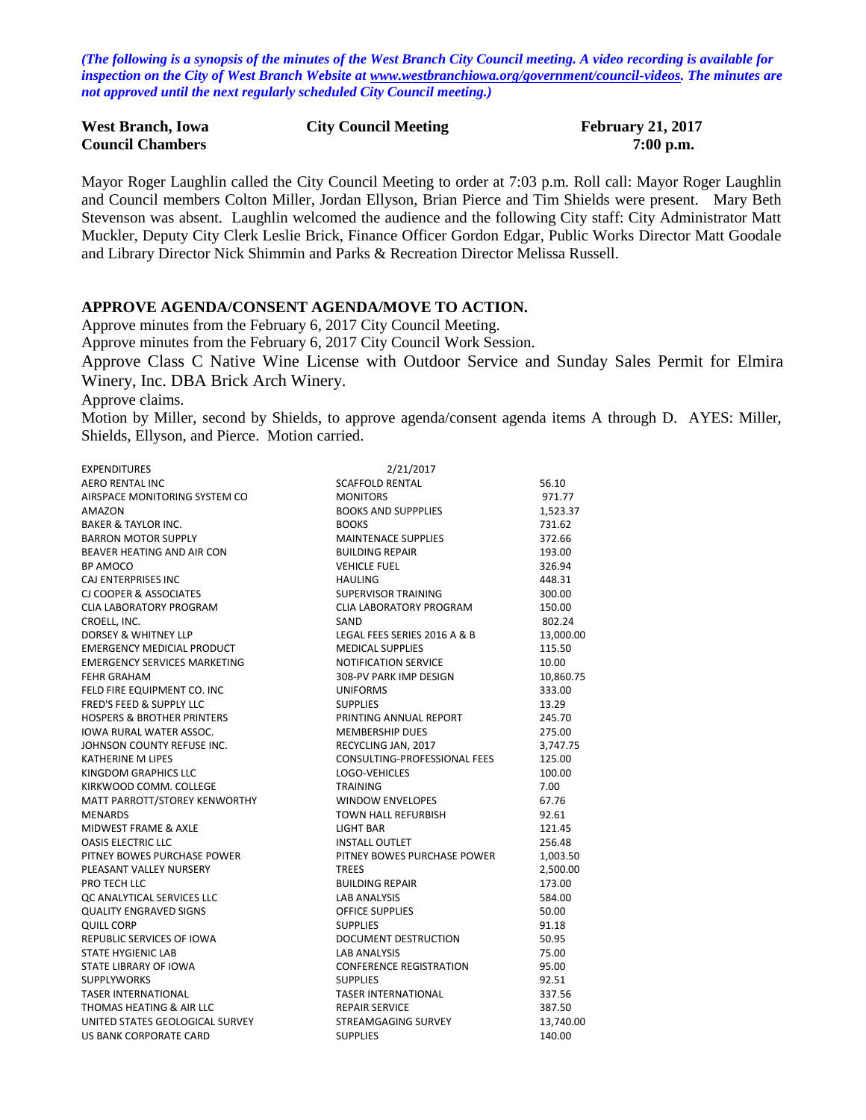*(The following is a synopsis of the minutes of the West Branch City Council meeting. A video recording is available for inspection on the City of West Branch Website at [www.westbranchiowa.org/government/council-videos.](http://www.westbranchiowa.org/government/council-videos) The minutes are not approved until the next regularly scheduled City Council meeting.)*

| <b>West Branch, Iowa</b> | <b>City Council Meeting</b> | <b>February 21, 2017</b> |
|--------------------------|-----------------------------|--------------------------|
| <b>Council Chambers</b>  |                             | $7:00$ p.m.              |

Mayor Roger Laughlin called the City Council Meeting to order at 7:03 p.m. Roll call: Mayor Roger Laughlin and Council members Colton Miller, Jordan Ellyson, Brian Pierce and Tim Shields were present. Mary Beth Stevenson was absent. Laughlin welcomed the audience and the following City staff: City Administrator Matt Muckler, Deputy City Clerk Leslie Brick, Finance Officer Gordon Edgar, Public Works Director Matt Goodale and Library Director Nick Shimmin and Parks & Recreation Director Melissa Russell.

#### **APPROVE AGENDA/CONSENT AGENDA/MOVE TO ACTION.**

Approve minutes from the February 6, 2017 City Council Meeting.

Approve minutes from the February 6, 2017 City Council Work Session.

Approve Class C Native Wine License with Outdoor Service and Sunday Sales Permit for Elmira Winery, Inc. DBA Brick Arch Winery.

Approve claims.

Motion by Miller, second by Shields, to approve agenda/consent agenda items A through D. AYES: Miller, Shields, Ellyson, and Pierce. Motion carried.

| <b>EXPENDITURES</b>                   | 2/21/2017                      |           |
|---------------------------------------|--------------------------------|-----------|
| <b>AERO RENTAL INC</b>                | <b>SCAFFOLD RENTAL</b>         | 56.10     |
| AIRSPACE MONITORING SYSTEM CO         | <b>MONITORS</b>                | 971.77    |
| AMAZON                                | <b>BOOKS AND SUPPPLIES</b>     | 1,523.37  |
| <b>BAKER &amp; TAYLOR INC.</b>        | <b>BOOKS</b>                   | 731.62    |
| <b>BARRON MOTOR SUPPLY</b>            | <b>MAINTENACE SUPPLIES</b>     | 372.66    |
| BEAVER HEATING AND AIR CON            | <b>BUILDING REPAIR</b>         | 193.00    |
| BP AMOCO                              | <b>VEHICLE FUEL</b>            | 326.94    |
| CAJ ENTERPRISES INC                   | <b>HAULING</b>                 | 448.31    |
| <b>CJ COOPER &amp; ASSOCIATES</b>     | <b>SUPERVISOR TRAINING</b>     | 300.00    |
| <b>CLIA LABORATORY PROGRAM</b>        | CLIA LABORATORY PROGRAM        | 150.00    |
| CROELL, INC.                          | SAND                           | 802.24    |
| DORSEY & WHITNEY LLP                  | LEGAL FEES SERIES 2016 A & B   | 13,000.00 |
| <b>EMERGENCY MEDICIAL PRODUCT</b>     | <b>MEDICAL SUPPLIES</b>        | 115.50    |
| <b>EMERGENCY SERVICES MARKETING</b>   | NOTIFICATION SERVICE           | 10.00     |
| <b>FEHR GRAHAM</b>                    | 308-PV PARK IMP DESIGN         | 10,860.75 |
| FELD FIRE EQUIPMENT CO. INC           | <b>UNIFORMS</b>                | 333.00    |
| FRED'S FEED & SUPPLY LLC              | <b>SUPPLIES</b>                | 13.29     |
| <b>HOSPERS &amp; BROTHER PRINTERS</b> | PRINTING ANNUAL REPORT         | 245.70    |
| <b>IOWA RURAL WATER ASSOC.</b>        | <b>MEMBERSHIP DUES</b>         | 275.00    |
| JOHNSON COUNTY REFUSE INC.            | RECYCLING JAN, 2017            | 3,747.75  |
| <b>KATHERINE M LIPES</b>              | CONSULTING-PROFESSIONAL FEES   | 125.00    |
| KINGDOM GRAPHICS LLC                  | LOGO-VEHICLES                  | 100.00    |
| KIRKWOOD COMM. COLLEGE                | <b>TRAINING</b>                | 7.00      |
| MATT PARROTT/STOREY KENWORTHY         | <b>WINDOW ENVELOPES</b>        | 67.76     |
| <b>MENARDS</b>                        | TOWN HALL REFURBISH            | 92.61     |
| MIDWEST FRAME & AXLE                  | LIGHT BAR                      | 121.45    |
| <b>OASIS ELECTRIC LLC</b>             | <b>INSTALL OUTLET</b>          | 256.48    |
| PITNEY BOWES PURCHASE POWER           | PITNEY BOWES PURCHASE POWER    | 1,003.50  |
| PLEASANT VALLEY NURSERY               | <b>TREES</b>                   | 2,500.00  |
| PRO TECH LLC                          | <b>BUILDING REPAIR</b>         | 173.00    |
| QC ANALYTICAL SERVICES LLC            | <b>LAB ANALYSIS</b>            | 584.00    |
| <b>QUALITY ENGRAVED SIGNS</b>         | OFFICE SUPPLIES                | 50.00     |
| <b>QUILL CORP</b>                     | <b>SUPPLIES</b>                | 91.18     |
| REPUBLIC SERVICES OF IOWA             | DOCUMENT DESTRUCTION           | 50.95     |
| <b>STATE HYGIENIC LAB</b>             | <b>LAB ANALYSIS</b>            | 75.00     |
| STATE LIBRARY OF IOWA                 | <b>CONFERENCE REGISTRATION</b> | 95.00     |
| <b>SUPPLYWORKS</b>                    | <b>SUPPLIES</b>                | 92.51     |
| <b>TASER INTERNATIONAL</b>            | <b>TASER INTERNATIONAL</b>     | 337.56    |
| THOMAS HEATING & AIR LLC              | <b>REPAIR SERVICE</b>          | 387.50    |
| UNITED STATES GEOLOGICAL SURVEY       | STREAMGAGING SURVEY            | 13,740.00 |
| <b>US BANK CORPORATE CARD</b>         | <b>SUPPLIES</b>                | 140.00    |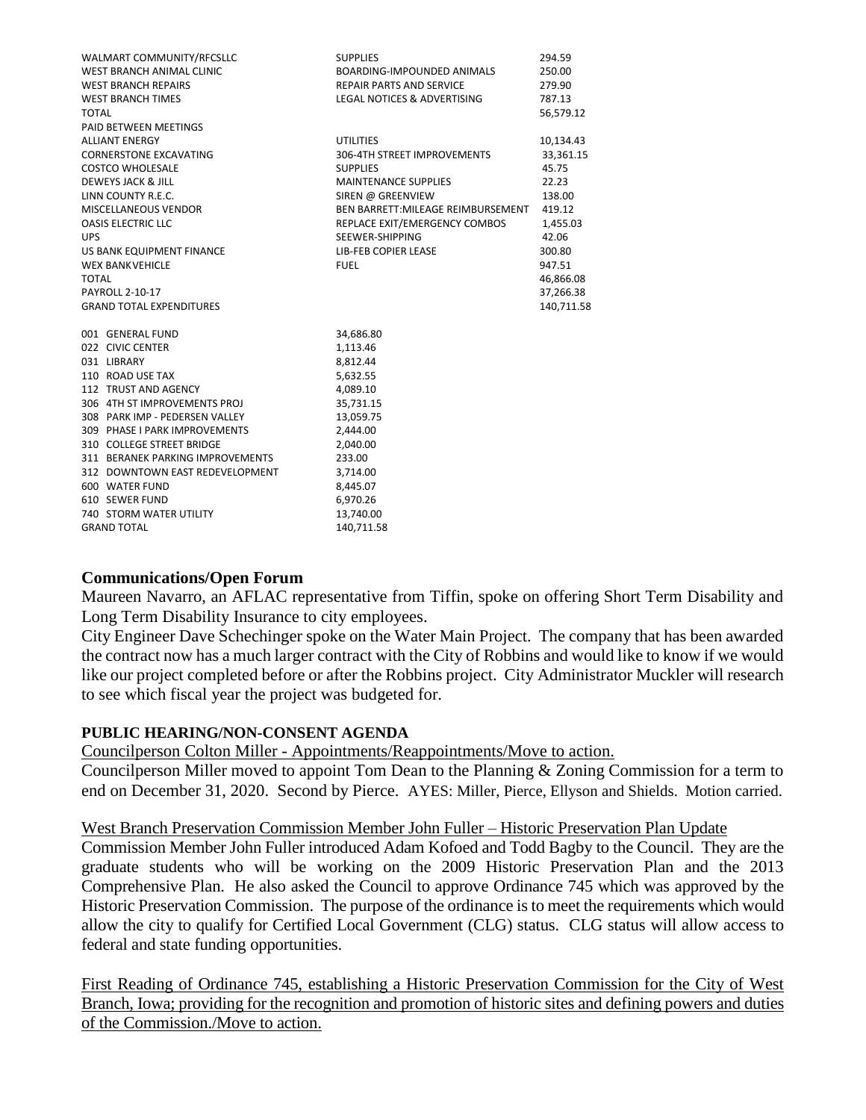| WALMART COMMUNITY/RFCSLLC        | <b>SUPPLIES</b>                        | 294.59     |
|----------------------------------|----------------------------------------|------------|
| WEST BRANCH ANIMAL CLINIC        | BOARDING-IMPOUNDED ANIMALS             | 250.00     |
| <b>WEST BRANCH REPAIRS</b>       | <b>REPAIR PARTS AND SERVICE</b>        | 279.90     |
| <b>WEST BRANCH TIMES</b>         | <b>LEGAL NOTICES &amp; ADVERTISING</b> | 787.13     |
| TOTAL                            |                                        | 56,579.12  |
| PAID BETWEEN MEETINGS            |                                        |            |
| <b>ALLIANT ENERGY</b>            | <b>UTILITIES</b>                       | 10,134.43  |
| <b>CORNERSTONE EXCAVATING</b>    | 306-4TH STREET IMPROVEMENTS            | 33,361.15  |
| <b>COSTCO WHOLESALE</b>          | <b>SUPPLIES</b>                        | 45.75      |
| DEWEYS JACK & JILL               | <b>MAINTENANCE SUPPLIES</b>            | 22.23      |
| LINN COUNTY R.E.C.               | SIREN @ GREENVIEW                      | 138.00     |
| MISCELLANEOUS VENDOR             | BEN BARRETT: MILEAGE REIMBURSEMENT     | 419.12     |
| <b>OASIS ELECTRIC LLC</b>        | REPLACE EXIT/EMERGENCY COMBOS          | 1,455.03   |
| <b>UPS</b>                       | SEEWER-SHIPPING                        | 42.06      |
| US BANK EQUIPMENT FINANCE        | <b>LIB-FEB COPIER LEASE</b>            | 300.80     |
| <b>WEX BANKVEHICLE</b>           | <b>FUEL</b>                            | 947.51     |
| <b>TOTAL</b>                     |                                        | 46,866.08  |
| <b>PAYROLL 2-10-17</b>           |                                        | 37,266.38  |
| <b>GRAND TOTAL EXPENDITURES</b>  |                                        | 140,711.58 |
|                                  |                                        |            |
| 001 GENERAL FUND                 | 34,686.80                              |            |
| 022 CIVIC CENTER                 | 1,113.46                               |            |
| 031 LIBRARY                      | 8,812.44                               |            |
| 110 ROAD USE TAX                 | 5,632.55                               |            |
| 112 TRUST AND AGENCY             | 4,089.10                               |            |
| 306 4TH ST IMPROVEMENTS PROJ     | 35,731.15                              |            |
| 308 PARK IMP - PEDERSEN VALLEY   | 13,059.75                              |            |
| 309 PHASE I PARK IMPROVEMENTS    | 2,444.00                               |            |
| 310 COLLEGE STREET BRIDGE        | 2.040.00                               |            |
| 311 BERANEK PARKING IMPROVEMENTS | 233.00                                 |            |
| 312 DOWNTOWN EAST REDEVELOPMENT  | 3,714.00                               |            |
| 600 WATER FUND                   | 8,445.07                               |            |
| 610 SEWER FUND                   | 6,970.26                               |            |
| <b>740 STORM WATER UTILITY</b>   | 13,740.00                              |            |
| <b>GRAND TOTAL</b>               | 140,711.58                             |            |

## **Communications/Open Forum**

Maureen Navarro, an AFLAC representative from Tiffin, spoke on offering Short Term Disability and Long Term Disability Insurance to city employees.

City Engineer Dave Schechinger spoke on the Water Main Project. The company that has been awarded the contract now has a much larger contract with the City of Robbins and would like to know if we would like our project completed before or after the Robbins project. City Administrator Muckler will research to see which fiscal year the project was budgeted for.

#### **PUBLIC HEARING/NON-CONSENT AGENDA**

Councilperson Colton Miller - Appointments/Reappointments/Move to action.

Councilperson Miller moved to appoint Tom Dean to the Planning & Zoning Commission for a term to end on December 31, 2020. Second by Pierce. AYES: Miller, Pierce, Ellyson and Shields. Motion carried.

## West Branch Preservation Commission Member John Fuller – Historic Preservation Plan Update

Commission Member John Fuller introduced Adam Kofoed and Todd Bagby to the Council. They are the graduate students who will be working on the 2009 Historic Preservation Plan and the 2013 Comprehensive Plan. He also asked the Council to approve Ordinance 745 which was approved by the Historic Preservation Commission. The purpose of the ordinance is to meet the requirements which would allow the city to qualify for Certified Local Government (CLG) status. CLG status will allow access to federal and state funding opportunities.

First Reading of Ordinance 745, establishing a Historic Preservation Commission for the City of West Branch, Iowa; providing for the recognition and promotion of historic sites and defining powers and duties of the Commission./Move to action.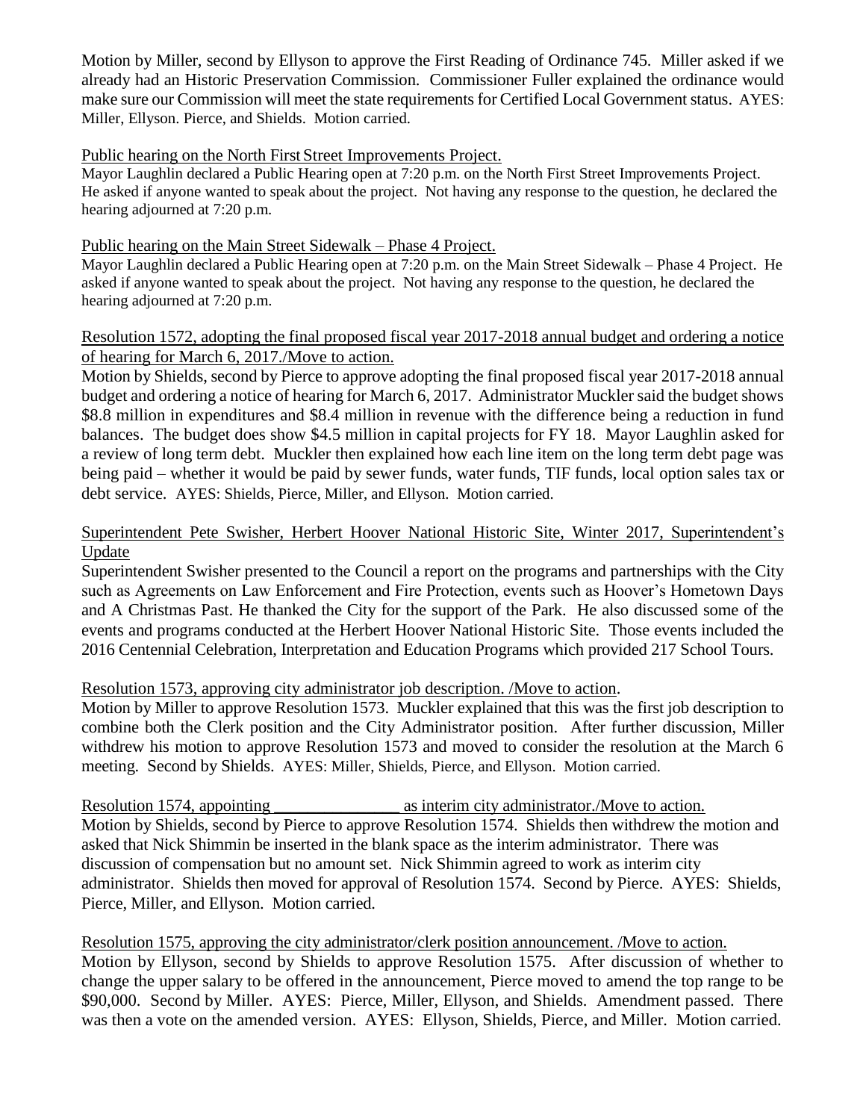Motion by Miller, second by Ellyson to approve the First Reading of Ordinance 745. Miller asked if we already had an Historic Preservation Commission. Commissioner Fuller explained the ordinance would make sure our Commission will meet the state requirements for Certified Local Government status. AYES: Miller, Ellyson. Pierce, and Shields. Motion carried.

## Public hearing on the North First Street Improvements Project.

Mayor Laughlin declared a Public Hearing open at 7:20 p.m. on the North First Street Improvements Project. He asked if anyone wanted to speak about the project. Not having any response to the question, he declared the hearing adjourned at 7:20 p.m.

## Public hearing on the Main Street Sidewalk – Phase 4 Project.

Mayor Laughlin declared a Public Hearing open at 7:20 p.m. on the Main Street Sidewalk – Phase 4 Project. He asked if anyone wanted to speak about the project. Not having any response to the question, he declared the hearing adjourned at 7:20 p.m.

# Resolution 1572, adopting the final proposed fiscal year 2017-2018 annual budget and ordering a notice of hearing for March 6, 2017./Move to action.

Motion by Shields, second by Pierce to approve adopting the final proposed fiscal year 2017-2018 annual budget and ordering a notice of hearing for March 6, 2017. Administrator Muckler said the budget shows \$8.8 million in expenditures and \$8.4 million in revenue with the difference being a reduction in fund balances. The budget does show \$4.5 million in capital projects for FY 18. Mayor Laughlin asked for a review of long term debt. Muckler then explained how each line item on the long term debt page was being paid – whether it would be paid by sewer funds, water funds, TIF funds, local option sales tax or debt service. AYES: Shields, Pierce, Miller, and Ellyson. Motion carried.

# Superintendent Pete Swisher, Herbert Hoover National Historic Site, Winter 2017, Superintendent's Update

Superintendent Swisher presented to the Council a report on the programs and partnerships with the City such as Agreements on Law Enforcement and Fire Protection, events such as Hoover's Hometown Days and A Christmas Past. He thanked the City for the support of the Park. He also discussed some of the events and programs conducted at the Herbert Hoover National Historic Site. Those events included the 2016 Centennial Celebration, Interpretation and Education Programs which provided 217 School Tours.

## Resolution 1573, approving city administrator job description. /Move to action.

Motion by Miller to approve Resolution 1573. Muckler explained that this was the first job description to combine both the Clerk position and the City Administrator position. After further discussion, Miller withdrew his motion to approve Resolution 1573 and moved to consider the resolution at the March 6 meeting. Second by Shields. AYES: Miller, Shields, Pierce, and Ellyson. Motion carried.

Resolution 1574, appointing as interim city administrator. Move to action. Motion by Shields, second by Pierce to approve Resolution 1574. Shields then withdrew the motion and asked that Nick Shimmin be inserted in the blank space as the interim administrator. There was discussion of compensation but no amount set. Nick Shimmin agreed to work as interim city administrator. Shields then moved for approval of Resolution 1574. Second by Pierce. AYES: Shields, Pierce, Miller, and Ellyson. Motion carried.

# Resolution 1575, approving the city administrator/clerk position announcement. /Move to action. Motion by Ellyson, second by Shields to approve Resolution 1575. After discussion of whether to change the upper salary to be offered in the announcement, Pierce moved to amend the top range to be \$90,000. Second by Miller. AYES: Pierce, Miller, Ellyson, and Shields. Amendment passed. There was then a vote on the amended version. AYES: Ellyson, Shields, Pierce, and Miller. Motion carried.